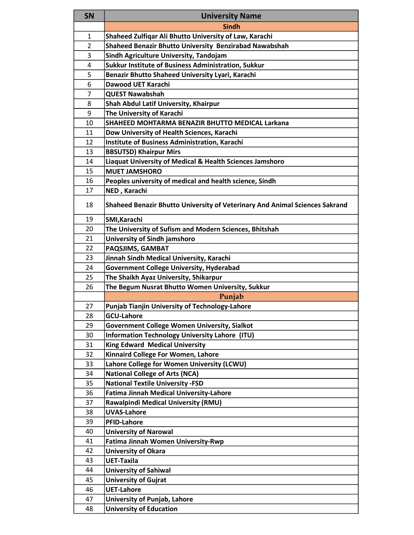| <b>SN</b>      | <b>University Name</b>                                                      |  |  |
|----------------|-----------------------------------------------------------------------------|--|--|
|                | <b>Sindh</b>                                                                |  |  |
| $\mathbf{1}$   | Shaheed Zulfiqar Ali Bhutto University of Law, Karachi                      |  |  |
| 2              | Shaheed Benazir Bhutto University Benzirabad Nawabshah                      |  |  |
| 3              | Sindh Agriculture University, Tandojam                                      |  |  |
| 4              | Sukkur Institute of Business Administration, Sukkur                         |  |  |
| 5              | Benazir Bhutto Shaheed University Lyari, Karachi                            |  |  |
| 6              | Dawood UET Karachi                                                          |  |  |
| $\overline{7}$ | <b>QUEST Nawabshah</b>                                                      |  |  |
| 8              | Shah Abdul Latif University, Khairpur                                       |  |  |
| 9              | The University of Karachi                                                   |  |  |
| 10             | SHAHEED MOHTARMA BENAZIR BHUTTO MEDICAL Larkana                             |  |  |
| 11             | Dow University of Health Sciences, Karachi                                  |  |  |
| 12             | <b>Institute of Business Administration, Karachi</b>                        |  |  |
| 13             | <b>BBSUTSD) Khairpur Mirs</b>                                               |  |  |
| 14             | Liaquat University of Medical & Health Sciences Jamshoro                    |  |  |
| 15             | <b>MUET JAMSHORO</b>                                                        |  |  |
| 16             | Peoples university of medical and health science, Sindh                     |  |  |
| 17             | NED, Karachi                                                                |  |  |
| 18             | Shaheed Benazir Bhutto University of Veterinary And Animal Sciences Sakrand |  |  |
| 19             | SMI, Karachi                                                                |  |  |
| 20             | The University of Sufism and Modern Sciences, Bhitshah                      |  |  |
| 21             | University of Sindh jamshoro                                                |  |  |
| 22             | PAQSJIMS, GAMBAT                                                            |  |  |
| 23             | Jinnah Sindh Medical University, Karachi                                    |  |  |
| 24             | <b>Government College University, Hyderabad</b>                             |  |  |
| 25             | The Shaikh Ayaz University, Shikarpur                                       |  |  |
| 26             | The Begum Nusrat Bhutto Women University, Sukkur                            |  |  |
|                | Punjab                                                                      |  |  |
| 27             | Punjab Tianjin University of Technology-Lahore                              |  |  |
| 28             | <b>GCU-Lahore</b>                                                           |  |  |
| 29             | <b>Government College Women University, Sialkot</b>                         |  |  |
| 30             | Information Technology University Lahore (ITU)                              |  |  |
| 31             | <b>King Edward Medical University</b>                                       |  |  |
| 32             | Kinnaird College For Women, Lahore                                          |  |  |
| 33             | Lahore College for Women University (LCWU)                                  |  |  |
| 34             | <b>National College of Arts (NCA)</b>                                       |  |  |
| 35             | <b>National Textile University -FSD</b>                                     |  |  |
| 36             | <b>Fatima Jinnah Medical University-Lahore</b>                              |  |  |
| 37             | <b>Rawalpindi Medical University (RMU)</b>                                  |  |  |
| 38             | <b>UVAS-Lahore</b>                                                          |  |  |
| 39             | <b>PFID-Lahore</b>                                                          |  |  |
| 40             | <b>University of Narowal</b>                                                |  |  |
| 41             | Fatima Jinnah Women University-Rwp                                          |  |  |
| 42             | <b>University of Okara</b>                                                  |  |  |
| 43             | <b>UET-Taxila</b>                                                           |  |  |
| 44             | <b>University of Sahiwal</b>                                                |  |  |
| 45             | <b>University of Gujrat</b>                                                 |  |  |
| 46             | <b>UET-Lahore</b>                                                           |  |  |
| 47             | University of Punjab, Lahore                                                |  |  |
| 48             | <b>University of Education</b>                                              |  |  |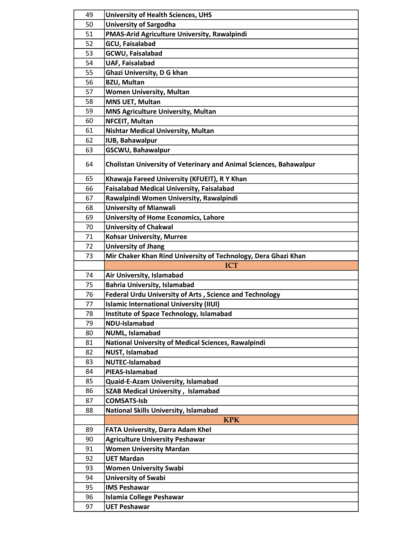| 49       | <b>University of Health Sciences, UHS</b>                          |  |
|----------|--------------------------------------------------------------------|--|
| 50       | <b>University of Sargodha</b>                                      |  |
| 51       | PMAS-Arid Agriculture University, Rawalpindi                       |  |
| 52       | <b>GCU, Faisalabad</b>                                             |  |
| 53       | <b>GCWU, Faisalabad</b>                                            |  |
| 54       | <b>UAF, Faisalabad</b>                                             |  |
| 55       |                                                                    |  |
| 56       | Ghazi University, D G khan                                         |  |
|          | <b>BZU, Multan</b>                                                 |  |
| 57       | <b>Women University, Multan</b>                                    |  |
| 58       | <b>MNS UET, Multan</b>                                             |  |
| 59       | <b>MNS Agriculture University, Multan</b>                          |  |
| 60       | NFCEIT, Multan                                                     |  |
| 61       | <b>Nishtar Medical University, Multan</b>                          |  |
| 62       | <b>IUB, Bahawalpur</b>                                             |  |
| 63       | GSCWU, Bahawalpur                                                  |  |
| 64       | Cholistan University of Veterinary and Animal Sciences, Bahawalpur |  |
| 65       | Khawaja Fareed University (KFUEIT), R Y Khan                       |  |
| 66       | <b>Faisalabad Medical University, Faisalabad</b>                   |  |
| 67       | Rawalpindi Women University, Rawalpindi                            |  |
| 68       | <b>University of Mianwali</b>                                      |  |
| 69       | <b>University of Home Economics, Lahore</b>                        |  |
| 70       | <b>University of Chakwal</b>                                       |  |
| 71       | <b>Kohsar University, Murree</b>                                   |  |
| 72       | <b>University of Jhang</b>                                         |  |
| 73       | Mir Chaker Khan Rind University of Technology, Dera Ghazi Khan     |  |
|          | <b>ICT</b>                                                         |  |
|          |                                                                    |  |
| 74       | Air University, Islamabad                                          |  |
| 75       | <b>Bahria University, Islamabad</b>                                |  |
| 76       | <b>Federal Urdu University of Arts, Science and Technology</b>     |  |
| 77       | <b>Islamic International University (IIUI)</b>                     |  |
| 78       |                                                                    |  |
| 79       | Institute of Space Technology, Islamabad<br>NDU-Islamabad          |  |
|          |                                                                    |  |
| 80       | NUML, Islamabad                                                    |  |
| 81       | National University of Medical Sciences, Rawalpindi                |  |
| 82       | <b>NUST, Islamabad</b>                                             |  |
| 83       | <b>NUTEC-Islamabad</b>                                             |  |
| 84       | PIEAS-Islamabad                                                    |  |
| 85       | Quaid-E-Azam University, Islamabad                                 |  |
| 86       | <b>SZAB Medical University, Islamabad</b>                          |  |
| 87       | <b>COMSATS-Isb</b>                                                 |  |
| 88       | <b>National Skills University, Islamabad</b>                       |  |
|          | <b>KPK</b>                                                         |  |
| 89       | FATA University, Darra Adam Khel                                   |  |
| 90       | <b>Agriculture University Peshawar</b>                             |  |
| 91       | <b>Women University Mardan</b>                                     |  |
| 92       | <b>UET Mardan</b>                                                  |  |
| 93       | <b>Women University Swabi</b>                                      |  |
| 94       | <b>University of Swabi</b>                                         |  |
| 95       | <b>IMS Peshawar</b>                                                |  |
| 96<br>97 | <b>Islamia College Peshawar</b><br><b>UET Peshawar</b>             |  |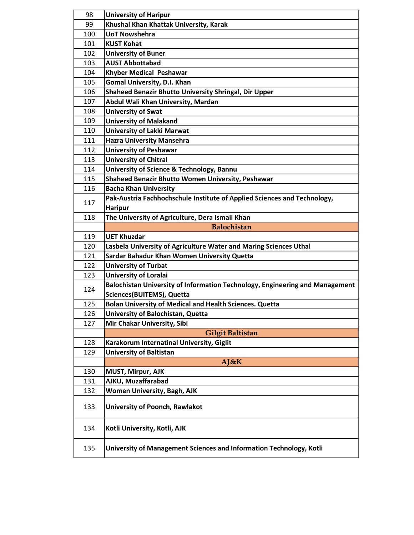| 98  | <b>University of Haripur</b>                                                 |  |  |
|-----|------------------------------------------------------------------------------|--|--|
| 99  | Khushal Khan Khattak University, Karak                                       |  |  |
| 100 | <b>UoT Nowshehra</b>                                                         |  |  |
| 101 | <b>KUST Kohat</b>                                                            |  |  |
| 102 | <b>University of Buner</b>                                                   |  |  |
| 103 | <b>AUST Abbottabad</b>                                                       |  |  |
| 104 | Khyber Medical Peshawar                                                      |  |  |
| 105 | <b>Gomal University, D.I. Khan</b>                                           |  |  |
| 106 | Shaheed Benazir Bhutto University Shringal, Dir Upper                        |  |  |
| 107 | Abdul Wali Khan University, Mardan                                           |  |  |
| 108 | <b>University of Swat</b>                                                    |  |  |
| 109 | <b>University of Malakand</b>                                                |  |  |
| 110 | <b>University of Lakki Marwat</b>                                            |  |  |
| 111 | <b>Hazra University Mansehra</b>                                             |  |  |
| 112 | <b>University of Peshawar</b>                                                |  |  |
| 113 | <b>University of Chitral</b>                                                 |  |  |
| 114 | University of Science & Technology, Bannu                                    |  |  |
| 115 | Shaheed Benazir Bhutto Women University, Peshawar                            |  |  |
| 116 | <b>Bacha Khan University</b>                                                 |  |  |
|     | Pak-Austria Fachhochschule Institute of Applied Sciences and Technology,     |  |  |
| 117 | <b>Haripur</b>                                                               |  |  |
| 118 | The University of Agriculture, Dera Ismail Khan                              |  |  |
|     | <b>Balochistan</b>                                                           |  |  |
| 119 | <b>UET Khuzdar</b>                                                           |  |  |
| 120 | Lasbela University of Agriculture Water and Maring Sciences Uthal            |  |  |
| 121 | Sardar Bahadur Khan Women University Quetta                                  |  |  |
| 122 | <b>University of Turbat</b>                                                  |  |  |
| 123 | <b>University of Loralai</b>                                                 |  |  |
| 124 | Balochistan University of Information Technology, Engineering and Management |  |  |
|     | Sciences(BUITEMS), Quetta                                                    |  |  |
| 125 | <b>Bolan University of Medical and Health Sciences. Quetta</b>               |  |  |
| 126 | University of Balochistan, Quetta                                            |  |  |
| 127 | Mir Chakar University, Sibi                                                  |  |  |
|     | <b>Gilgit Baltistan</b>                                                      |  |  |
| 128 | Karakorum Internatinal University, Giglit                                    |  |  |
| 129 | <b>University of Baltistan</b>                                               |  |  |
|     | AJ&K                                                                         |  |  |
| 130 | <b>MUST, Mirpur, AJK</b>                                                     |  |  |
| 131 | AJKU, Muzaffarabad                                                           |  |  |
| 132 | <b>Women University, Bagh, AJK</b>                                           |  |  |
| 133 | University of Poonch, Rawlakot                                               |  |  |
| 134 | Kotli University, Kotli, AJK                                                 |  |  |
| 135 | University of Management Sciences and Information Technology, Kotli          |  |  |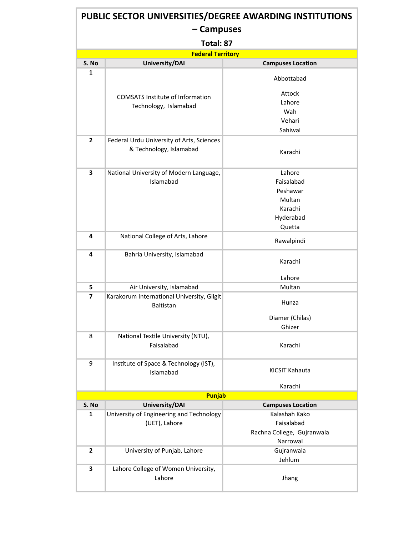|                          | PUBLIC SECTOR UNIVERSITIES/DEGREE AWARDING INSTITUTIONS        |                            |  |  |  |  |
|--------------------------|----------------------------------------------------------------|----------------------------|--|--|--|--|
| – Campuses               |                                                                |                            |  |  |  |  |
| Total: 87                |                                                                |                            |  |  |  |  |
| <b>Federal Territory</b> |                                                                |                            |  |  |  |  |
| S. No                    | University/DAI                                                 | <b>Campuses Location</b>   |  |  |  |  |
| 1                        |                                                                | Abbottabad                 |  |  |  |  |
|                          | <b>COMSATS Institute of Information</b>                        | Attock                     |  |  |  |  |
|                          | Technology, Islamabad                                          | Lahore                     |  |  |  |  |
|                          |                                                                | Wah<br>Vehari              |  |  |  |  |
|                          |                                                                | Sahiwal                    |  |  |  |  |
| $\mathbf{2}$             | Federal Urdu University of Arts, Sciences                      |                            |  |  |  |  |
|                          | & Technology, Islamabad                                        | Karachi                    |  |  |  |  |
| 3                        | National University of Modern Language,                        | Lahore                     |  |  |  |  |
|                          | Islamabad                                                      | Faisalabad                 |  |  |  |  |
|                          |                                                                | Peshawar                   |  |  |  |  |
|                          |                                                                | Multan                     |  |  |  |  |
|                          |                                                                | Karachi                    |  |  |  |  |
|                          |                                                                | Hyderabad                  |  |  |  |  |
|                          |                                                                | Quetta                     |  |  |  |  |
| 4                        | National College of Arts, Lahore                               | Rawalpindi                 |  |  |  |  |
| 4                        | Bahria University, Islamabad                                   | Karachi                    |  |  |  |  |
|                          |                                                                | Lahore                     |  |  |  |  |
| 5                        | Air University, Islamabad                                      | Multan                     |  |  |  |  |
| 7                        | Karakorum International University, Gilgit<br><b>Baltistan</b> | Hunza                      |  |  |  |  |
|                          |                                                                | Diamer (Chilas)            |  |  |  |  |
|                          |                                                                | Ghizer                     |  |  |  |  |
| 8                        | National Textile University (NTU),<br>Faisalabad               | Karachi                    |  |  |  |  |
| 9                        | Institute of Space & Technology (IST),<br>Islamabad            | KICSIT Kahauta             |  |  |  |  |
|                          |                                                                | Karachi                    |  |  |  |  |
|                          | <b>Punjab</b>                                                  |                            |  |  |  |  |
| S. No                    | <b>University/DAI</b>                                          | <b>Campuses Location</b>   |  |  |  |  |
| 1                        | University of Engineering and Technology                       | Kalashah Kako              |  |  |  |  |
|                          | (UET), Lahore                                                  | Faisalabad                 |  |  |  |  |
|                          |                                                                | Rachna College, Gujranwala |  |  |  |  |
|                          |                                                                | Narrowal                   |  |  |  |  |
| $\mathbf{2}$             | University of Punjab, Lahore                                   | Gujranwala<br>Jehlum       |  |  |  |  |
| 3                        | Lahore College of Women University,                            |                            |  |  |  |  |
|                          | Lahore                                                         | Jhang                      |  |  |  |  |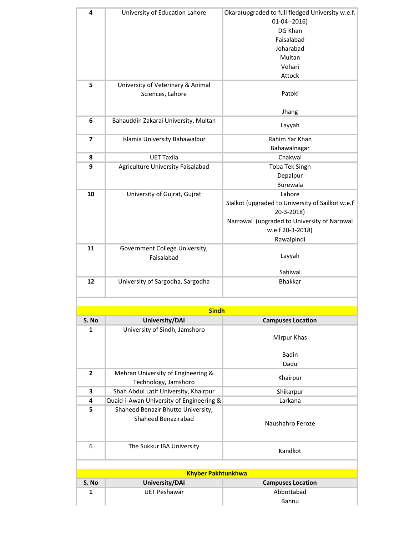| 4                       | University of Education Lahore           | Okara(upgraded to full fledged University w.e.f. |
|-------------------------|------------------------------------------|--------------------------------------------------|
|                         |                                          | $01-04-2016$                                     |
|                         |                                          | DG Khan                                          |
|                         |                                          | Faisalabad                                       |
|                         |                                          | Joharabad                                        |
|                         |                                          | Multan                                           |
|                         |                                          | Vehari                                           |
|                         |                                          | Attock                                           |
| 5                       | University of Veterinary & Animal        |                                                  |
|                         | Sciences, Lahore                         | Patoki                                           |
|                         |                                          |                                                  |
|                         |                                          | Jhang                                            |
| 6                       | Bahauddin Zakarai University, Multan     |                                                  |
|                         |                                          | Layyah                                           |
| $\overline{\mathbf{z}}$ | Islamia University Bahawalpur            | Rahim Yar Khan                                   |
|                         |                                          | Bahawalnagar                                     |
| 8                       | <b>UET Taxila</b>                        | Chakwal                                          |
| 9                       | Agriculture University Faisalabad        | <b>Toba Tek Singh</b>                            |
|                         |                                          | Depalpur                                         |
|                         |                                          | Burewala                                         |
| 10                      | University of Gujrat, Gujrat             | Lahore                                           |
|                         |                                          | Sialkot (upgraded to University of Sailkot w.e.f |
|                         |                                          | 20-3-2018)                                       |
|                         |                                          | Narrowal (upgraded to University of Narowal      |
|                         |                                          | w.e.f 20-3-2018)                                 |
|                         |                                          | Rawalpindi                                       |
| 11                      | Government College University,           |                                                  |
|                         | Faisalabad                               | Layyah                                           |
|                         |                                          |                                                  |
|                         |                                          | Sahiwal                                          |
| 12                      | University of Sargodha, Sargodha         | <b>Bhakkar</b>                                   |
|                         |                                          |                                                  |
|                         |                                          |                                                  |
|                         | <b>Sindh</b>                             |                                                  |
| S. No                   | University/DAI                           | <b>Campuses Location</b>                         |
| 1                       | University of Sindh, Jamshoro            |                                                  |
|                         |                                          | Mirpur Khas                                      |
|                         |                                          |                                                  |
|                         |                                          | <b>Badin</b>                                     |
|                         |                                          | Dadu                                             |
| $\mathbf{2}$            | Mehran University of Engineering &       | Khairpur                                         |
|                         | Technology, Jamshoro                     |                                                  |
| 3                       | Shah Abdul Latif University, Khairpur    | Shikarpur                                        |
| 4                       | Quaid-i-Awan University of Engineering & | Larkana                                          |
| 5                       | Shaheed Benazir Bhutto University,       |                                                  |
|                         | Shaheed Benazirabad                      | Naushahro Feroze                                 |
|                         |                                          |                                                  |
|                         |                                          |                                                  |
| 6                       | The Sukkur IBA University                | Kandkot                                          |
|                         |                                          |                                                  |
|                         |                                          |                                                  |
|                         | <b>Khyber Pakhtunkhwa</b>                |                                                  |
| S. No                   | University/DAI                           | <b>Campuses Location</b>                         |
| 1                       | <b>UET Peshawar</b>                      | Abbottabad                                       |
|                         |                                          | Bannu                                            |